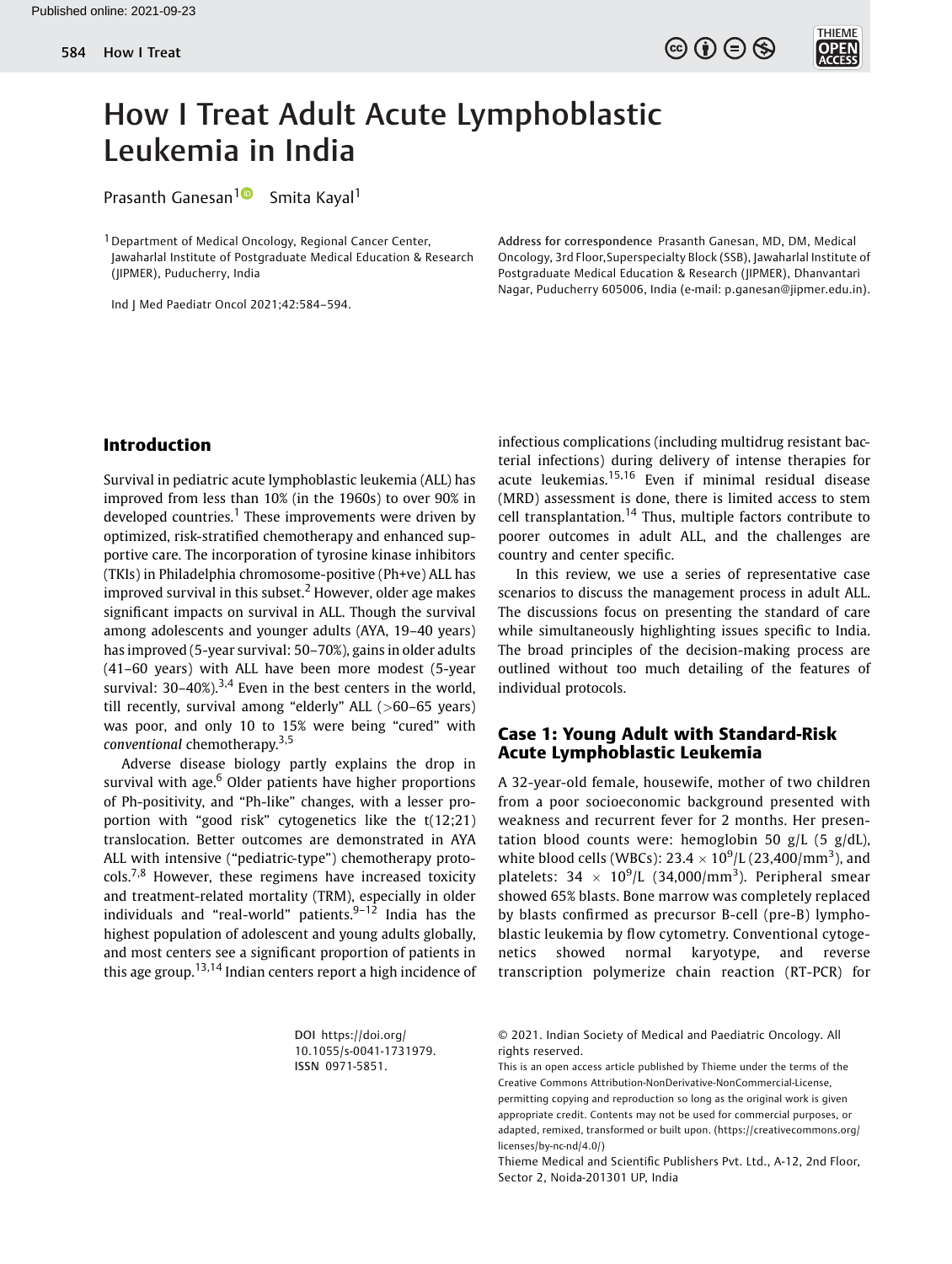

# How I Treat Adult Acute Lymphoblastic Leukemia in India

Prasanth Ganesan<sup>1</sup><sup>0</sup> Smita Kayal<sup>1</sup>

<sup>1</sup> Department of Medical Oncology, Regional Cancer Center, Jawaharlal Institute of Postgraduate Medical Education & Research (JIPMER), Puducherry, India

Ind J Med Paediatr Oncol 2021;42:584–594.

Address for correspondence Prasanth Ganesan, MD, DM, Medical Oncology, 3rd Floor,Superspecialty Block (SSB), Jawaharlal Institute of Postgraduate Medical Education & Research (JIPMER), Dhanvantari Nagar, Puducherry 605006, India (e-mail: [p.ganesan@jipmer.edu.in\)](mailto:p.ganesan@jipmer.edu.in).

#### Introduction

Survival in pediatric acute lymphoblastic leukemia (ALL) has improved from less than 10% (in the 1960s) to over 90% in developed countries.<sup>1</sup> These improvements were driven by optimized, risk-stratified chemotherapy and enhanced supportive care. The incorporation of tyrosine kinase inhibitors (TKIs) in Philadelphia chromosome-positive (Ph+ve) ALL has improved survival in this subset.<sup>2</sup> However, older age makes significant impacts on survival in ALL. Though the survival among adolescents and younger adults (AYA, 19–40 years) has improved (5-year survival: 50–70%), gains in older adults (41–60 years) with ALL have been more modest (5-year survival:  $30-40\%$ ).<sup>3,4</sup> Even in the best centers in the world, till recently, survival among "elderly" ALL (>60–65 years) was poor, and only 10 to 15% were being "cured" with conventional chemotherapy.3,5

Adverse disease biology partly explains the drop in survival with age. $6$  Older patients have higher proportions of Ph-positivity, and "Ph-like" changes, with a lesser proportion with "good risk" cytogenetics like the t(12;21) translocation. Better outcomes are demonstrated in AYA ALL with intensive ("pediatric-type") chemotherapy proto- $\text{cols.}^{7,8}$  However, these regimens have increased toxicity and treatment-related mortality (TRM), especially in older individuals and "real-world" patients. $9-12$  India has the highest population of adolescent and young adults globally, and most centers see a significant proportion of patients in this age group.<sup>13,14</sup> Indian centers report a high incidence of infectious complications (including multidrug resistant bacterial infections) during delivery of intense therapies for acute leukemias.15,16 Even if minimal residual disease (MRD) assessment is done, there is limited access to stem cell transplantation.<sup>14</sup> Thus, multiple factors contribute to poorer outcomes in adult ALL, and the challenges are country and center specific.

In this review, we use a series of representative case scenarios to discuss the management process in adult ALL. The discussions focus on presenting the standard of care while simultaneously highlighting issues specific to India. The broad principles of the decision-making process are outlined without too much detailing of the features of individual protocols.

# Case 1: Young Adult with Standard-Risk Acute Lymphoblastic Leukemia

A 32-year-old female, housewife, mother of two children from a poor socioeconomic background presented with weakness and recurrent fever for 2 months. Her presentation blood counts were: hemoglobin 50 g/L (5 g/dL), white blood cells (WBCs):  $23.4 \times 10^9$  L (23,400/mm<sup>3</sup>), and platelets:  $34 \times 10^9$ /L (34,000/mm<sup>3</sup>). Peripheral smear showed 65% blasts. Bone marrow was completely replaced by blasts confirmed as precursor B-cell (pre-B) lymphoblastic leukemia by flow cytometry. Conventional cytogenetics showed normal karyotype, and reverse transcription polymerize chain reaction (RT-PCR) for

DOI [https://doi.org/](https://doi.org/10.1055/s-0041-1731979) [10.1055/s-0041-1731979](https://doi.org/10.1055/s-0041-1731979). ISSN 0971-5851.

© 2021. Indian Society of Medical and Paediatric Oncology. All rights reserved.

This is an open access article published by Thieme under the terms of the Creative Commons Attribution-NonDerivative-NonCommercial-License, permitting copying and reproduction so long as the original work is given appropriate credit. Contents may not be used for commercial purposes, or adapted, remixed, transformed or built upon. (https://creativecommons.org/ licenses/by-nc-nd/4.0/)

Thieme Medical and Scientific Publishers Pvt. Ltd., A-12, 2nd Floor, Sector 2, Noida-201301 UP, India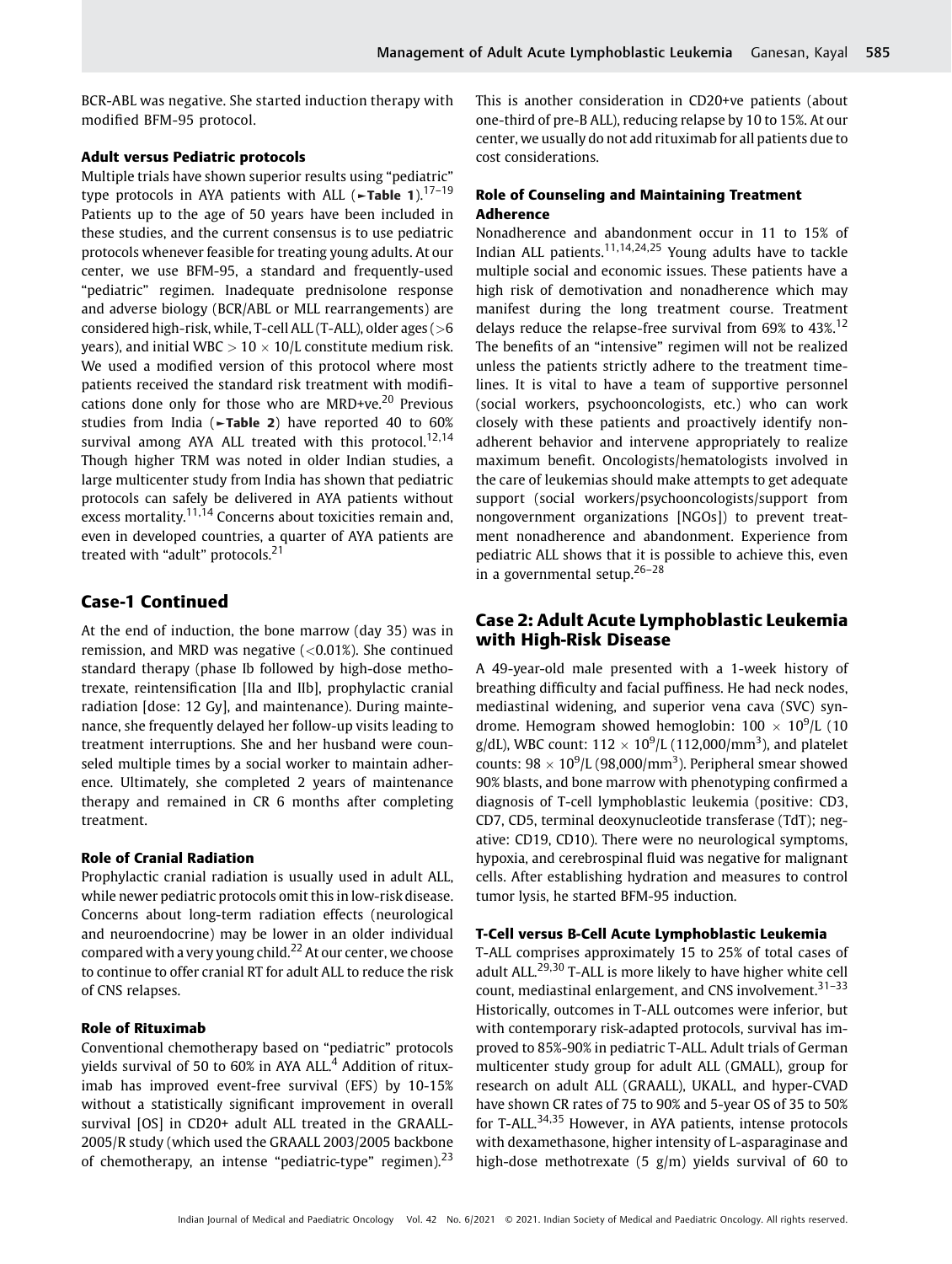BCR-ABL was negative. She started induction therapy with modified BFM-95 protocol.

#### Adult versus Pediatric protocols

Multiple trials have shown superior results using "pediatric" type protocols in AYA patients with ALL ( $\blacktriangleright$ Table 1).<sup>17-19</sup> Patients up to the age of 50 years have been included in these studies, and the current consensus is to use pediatric protocols whenever feasible for treating young adults. At our center, we use BFM-95, a standard and frequently-used "pediatric" regimen. Inadequate prednisolone response and adverse biology (BCR/ABL or MLL rearrangements) are considered high-risk, while, T-cell ALL (T-ALL), older ages (>6 years), and initial WBC  $> 10 \times 10/L$  constitute medium risk. We used a modified version of this protocol where most patients received the standard risk treatment with modifications done only for those who are MRD+ve.<sup>20</sup> Previous studies from India (►Table 2) have reported 40 to 60% survival among AYA ALL treated with this protocol.<sup>12,14</sup> Though higher TRM was noted in older Indian studies, a large multicenter study from India has shown that pediatric protocols can safely be delivered in AYA patients without excess mortality.<sup>11,14</sup> Concerns about toxicities remain and, even in developed countries, a quarter of AYA patients are treated with "adult" protocols.<sup>21</sup>

# Case-1 Continued

At the end of induction, the bone marrow (day 35) was in remission, and MRD was negative  $(<0.01\%)$ . She continued standard therapy (phase Ib followed by high-dose methotrexate, reintensification [IIa and IIb], prophylactic cranial radiation [dose: 12 Gy], and maintenance). During maintenance, she frequently delayed her follow-up visits leading to treatment interruptions. She and her husband were counseled multiple times by a social worker to maintain adherence. Ultimately, she completed 2 years of maintenance therapy and remained in CR 6 months after completing treatment.

#### Role of Cranial Radiation

Prophylactic cranial radiation is usually used in adult ALL, while newer pediatric protocols omit this in low-risk disease. Concerns about long-term radiation effects (neurological and neuroendocrine) may be lower in an older individual compared with a very young child.<sup>22</sup> At our center, we choose to continue to offer cranial RT for adult ALL to reduce the risk of CNS relapses.

#### Role of Rituximab

Conventional chemotherapy based on "pediatric" protocols yields survival of 50 to 60% in AYA ALL.<sup>4</sup> Addition of rituximab has improved event-free survival (EFS) by 10-15% without a statistically significant improvement in overall survival [OS] in CD20+ adult ALL treated in the GRAALL-2005/R study (which used the GRAALL 2003/2005 backbone of chemotherapy, an intense "pediatric-type" regimen).<sup>23</sup>

This is another consideration in CD20+ve patients (about one-third of pre-B ALL), reducing relapse by 10 to 15%. At our center, we usually do not add rituximab for all patients due to cost considerations.

## Role of Counseling and Maintaining Treatment Adherence

Nonadherence and abandonment occur in 11 to 15% of Indian ALL patients.11,14,24,25 Young adults have to tackle multiple social and economic issues. These patients have a high risk of demotivation and nonadherence which may manifest during the long treatment course. Treatment delays reduce the relapse-free survival from 69% to 43%.<sup>12</sup> The benefits of an "intensive" regimen will not be realized unless the patients strictly adhere to the treatment timelines. It is vital to have a team of supportive personnel (social workers, psychooncologists, etc.) who can work closely with these patients and proactively identify nonadherent behavior and intervene appropriately to realize maximum benefit. Oncologists/hematologists involved in the care of leukemias should make attempts to get adequate support (social workers/psychooncologists/support from nongovernment organizations [NGOs]) to prevent treatment nonadherence and abandonment. Experience from pediatric ALL shows that it is possible to achieve this, even in a governmental setup.26–<sup>28</sup>

# Case 2: Adult Acute Lymphoblastic Leukemia with High-Risk Disease

A 49-year-old male presented with a 1-week history of breathing difficulty and facial puffiness. He had neck nodes, mediastinal widening, and superior vena cava (SVC) syndrome. Hemogram showed hemoglobin:  $100 \times 10^9$ /L (10 g/dL), WBC count:  $112 \times 10^9$ /L (112,000/mm<sup>3</sup>), and platelet counts:  $98 \times 10^9$ /L (98,000/mm<sup>3</sup>). Peripheral smear showed 90% blasts, and bone marrow with phenotyping confirmed a diagnosis of T-cell lymphoblastic leukemia (positive: CD3, CD7, CD5, terminal deoxynucleotide transferase (TdT); negative: CD19, CD10). There were no neurological symptoms, hypoxia, and cerebrospinal fluid was negative for malignant cells. After establishing hydration and measures to control tumor lysis, he started BFM-95 induction.

#### T-Cell versus B-Cell Acute Lymphoblastic Leukemia

T-ALL comprises approximately 15 to 25% of total cases of adult ALL.<sup>29,30</sup> T-ALL is more likely to have higher white cell count, mediastinal enlargement, and CNS involvement.<sup>31–33</sup> Historically, outcomes in T-ALL outcomes were inferior, but with contemporary risk-adapted protocols, survival has improved to 85%-90% in pediatric T-ALL. Adult trials of German multicenter study group for adult ALL (GMALL), group for research on adult ALL (GRAALL), UKALL, and hyper-CVAD have shown CR rates of 75 to 90% and 5-year OS of 35 to 50% for T-ALL.<sup>34,35</sup> However, in AYA patients, intense protocols with dexamethasone, higher intensity of L-asparaginase and high-dose methotrexate (5 g/m) yields survival of 60 to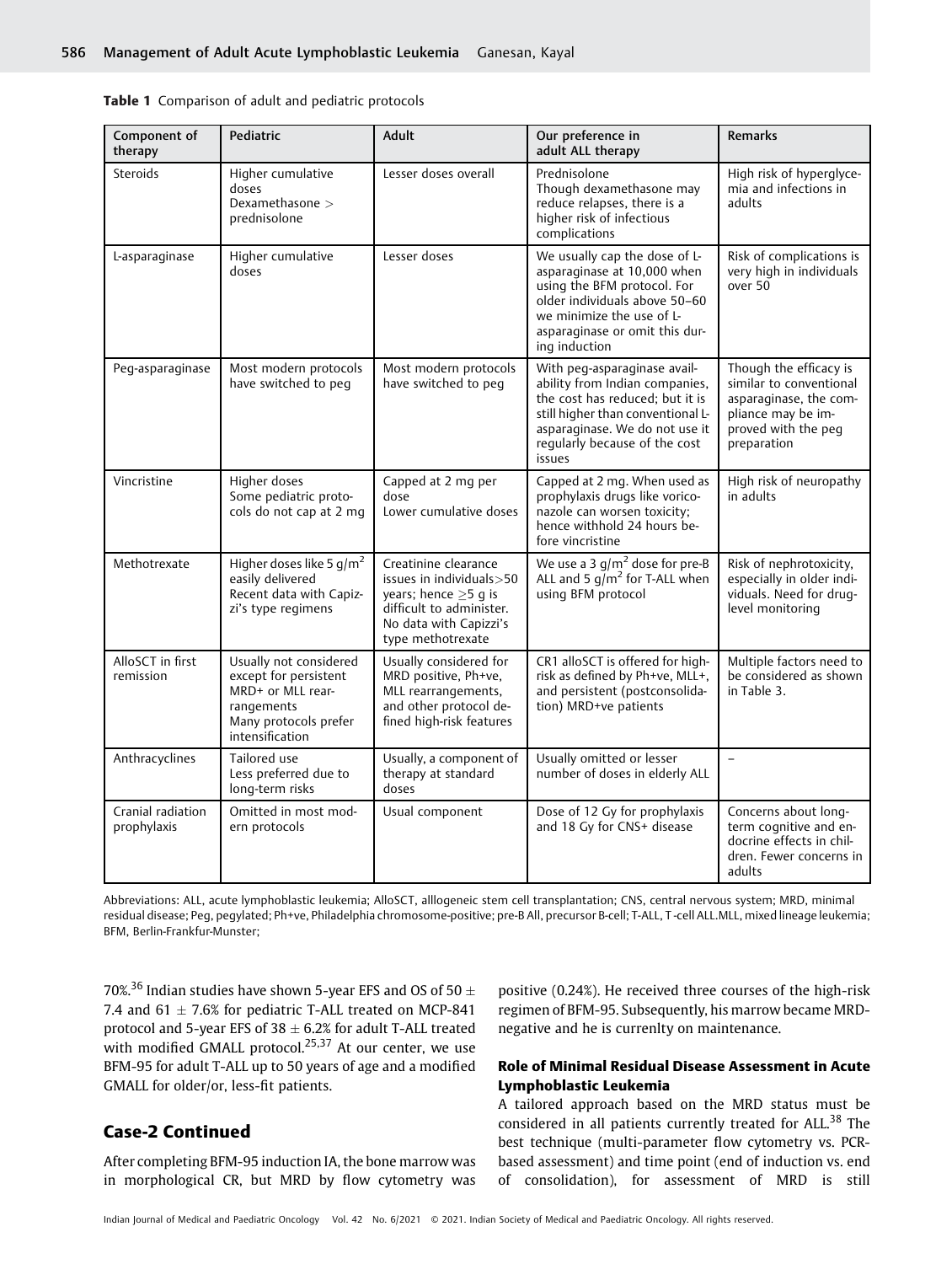|  | Table 1 Comparison of adult and pediatric protocols |  |  |  |
|--|-----------------------------------------------------|--|--|--|
|--|-----------------------------------------------------|--|--|--|

| Component of<br>therapy          | Pediatric                                                                                                                      | Adult                                                                                                                                                     | Our preference in<br>adult ALL therapy                                                                                                                                                                              | <b>Remarks</b>                                                                                                                          |
|----------------------------------|--------------------------------------------------------------------------------------------------------------------------------|-----------------------------------------------------------------------------------------------------------------------------------------------------------|---------------------------------------------------------------------------------------------------------------------------------------------------------------------------------------------------------------------|-----------------------------------------------------------------------------------------------------------------------------------------|
| Steroids                         | Higher cumulative<br>doses<br>Dexamethasone ><br>prednisolone                                                                  | Lesser doses overall                                                                                                                                      | Prednisolone<br>Though dexamethasone may<br>reduce relapses, there is a<br>higher risk of infectious<br>complications                                                                                               | High risk of hyperglyce-<br>mia and infections in<br>adults                                                                             |
| L-asparaginase                   | Higher cumulative<br>doses                                                                                                     | Lesser doses                                                                                                                                              | We usually cap the dose of L-<br>asparaginase at 10,000 when<br>using the BFM protocol. For<br>older individuals above 50-60<br>we minimize the use of L-<br>asparaginase or omit this dur-<br>ing induction        | Risk of complications is<br>very high in individuals<br>over 50                                                                         |
| Peg-asparaginase                 | Most modern protocols<br>have switched to peg                                                                                  | Most modern protocols<br>have switched to peq                                                                                                             | With peg-asparaginase avail-<br>ability from Indian companies,<br>the cost has reduced; but it is<br>still higher than conventional L-<br>asparaginase. We do not use it<br>regularly because of the cost<br>issues | Though the efficacy is<br>similar to conventional<br>asparaginase, the com-<br>pliance may be im-<br>proved with the peq<br>preparation |
| Vincristine                      | Higher doses<br>Some pediatric proto-<br>cols do not cap at 2 mg                                                               | Capped at 2 mg per<br>dose<br>Lower cumulative doses                                                                                                      | Capped at 2 mg. When used as<br>prophylaxis drugs like vorico-<br>nazole can worsen toxicity;<br>hence withhold 24 hours be-<br>fore vincristine                                                                    | High risk of neuropathy<br>in adults                                                                                                    |
| Methotrexate                     | Higher doses like 5 g/m <sup>2</sup><br>easily delivered<br>Recent data with Capiz-<br>zi's type regimens                      | Creatinine clearance<br>issues in individuals>50<br>years; hence $\geq$ 5 g is<br>difficult to administer.<br>No data with Capizzi's<br>type methotrexate | We use a 3 $q/m^2$ dose for pre-B<br>ALL and 5 $q/m^2$ for T-ALL when<br>using BFM protocol                                                                                                                         | Risk of nephrotoxicity,<br>especially in older indi-<br>viduals. Need for drug-<br>level monitoring                                     |
| AlloSCT in first<br>remission    | Usually not considered<br>except for persistent<br>MRD+ or MLL rear-<br>rangements<br>Many protocols prefer<br>intensification | Usually considered for<br>MRD positive, Ph+ve,<br>MLL rearrangements,<br>and other protocol de-<br>fined high-risk features                               | CR1 alloSCT is offered for high-<br>risk as defined by Ph+ve, MLL+,<br>and persistent (postconsolida-<br>tion) MRD+ve patients                                                                                      | Multiple factors need to<br>be considered as shown<br>in Table 3.                                                                       |
| Anthracyclines                   | Tailored use<br>Less preferred due to<br>long-term risks                                                                       | Usually, a component of<br>therapy at standard<br>doses                                                                                                   | Usually omitted or lesser<br>number of doses in elderly ALL                                                                                                                                                         | $\qquad \qquad -$                                                                                                                       |
| Cranial radiation<br>prophylaxis | Omitted in most mod-<br>ern protocols                                                                                          | Usual component                                                                                                                                           | Dose of 12 Gy for prophylaxis<br>and 18 Gy for CNS+ disease                                                                                                                                                         | Concerns about long-<br>term cognitive and en-<br>docrine effects in chil-<br>dren. Fewer concerns in<br>adults                         |

Abbreviations: ALL, acute lymphoblastic leukemia; AlloSCT, alllogeneic stem cell transplantation; CNS, central nervous system; MRD, minimal residual disease; Peg, pegylated; Ph+ve, Philadelphia chromosome-positive; pre-B All, precursor B-cell; T-ALL, T -cell ALL.MLL, mixed lineage leukemia; BFM, Berlin-Frankfur-Munster;

70%.<sup>36</sup> Indian studies have shown 5-year EFS and OS of 50  $\pm$ 7.4 and 61  $\pm$  7.6% for pediatric T-ALL treated on MCP-841 protocol and 5-year EFS of 38  $\pm$  6.2% for adult T-ALL treated with modified GMALL protocol. $25,37$  At our center, we use BFM-95 for adult T-ALL up to 50 years of age and a modified GMALL for older/or, less-fit patients.

# Case-2 Continued

After completing BFM-95 induction IA, the bone marrow was in morphological CR, but MRD by flow cytometry was

positive (0.24%). He received three courses of the high-risk regimen of BFM-95. Subsequently, his marrow became MRDnegative and he is currenlty on maintenance.

# Role of Minimal Residual Disease Assessment in Acute Lymphoblastic Leukemia

A tailored approach based on the MRD status must be considered in all patients currently treated for ALL.<sup>38</sup> The best technique (multi-parameter flow cytometry vs. PCRbased assessment) and time point (end of induction vs. end of consolidation), for assessment of MRD is still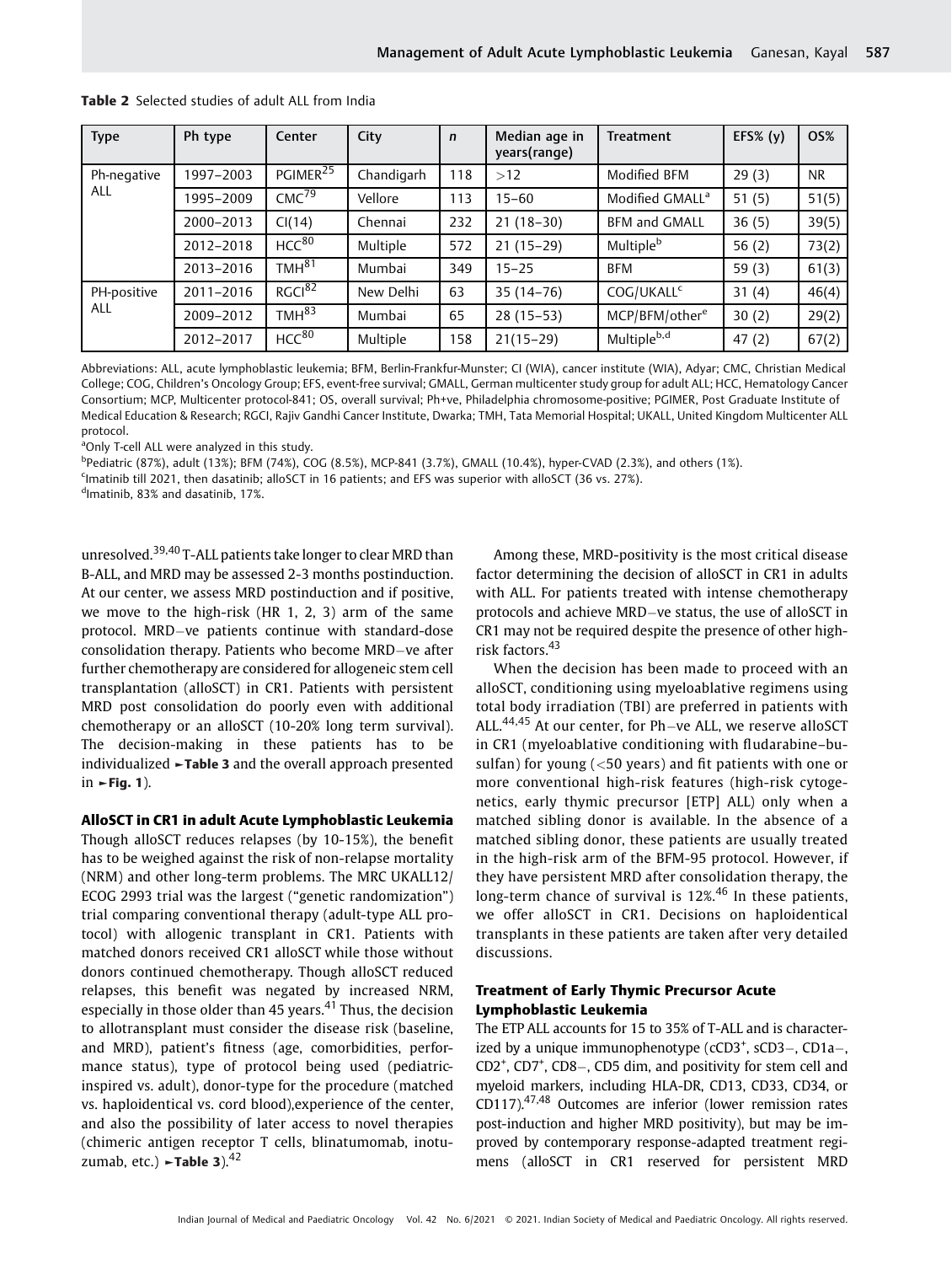| <b>Type</b>        | Ph type   | Center               | City       | $\mathbf n$ | Median age in<br>years(range) | <b>Treatment</b>            | EFS% $(y)$ | <b>OS%</b> |
|--------------------|-----------|----------------------|------------|-------------|-------------------------------|-----------------------------|------------|------------|
| Ph-negative<br>ALL | 1997-2003 | PGIMER <sup>25</sup> | Chandigarh | 118         | >12                           | Modified BFM                | 29(3)      | NR.        |
|                    | 1995-2009 | CMC <sup>79</sup>    | Vellore    | 113         | $15 - 60$                     | Modified GMALL <sup>a</sup> | 51(5)      | 51(5)      |
|                    | 2000-2013 | CI(14)               | Chennai    | 232         | $21(18-30)$                   | <b>BFM and GMALL</b>        | 36(5)      | 39(5)      |
|                    | 2012-2018 | $HCC^{80}$           | Multiple   | 572         | $21(15-29)$                   | Multiple <sup>b</sup>       | 56 $(2)$   | 73(2)      |
|                    | 2013-2016 | TMH <sup>81</sup>    | Mumbai     | 349         | $15 - 25$                     | <b>BFM</b>                  | 59 $(3)$   | 61(3)      |
| PH-positive<br>ALL | 2011-2016 | RGCl <sup>82</sup>   | New Delhi  | 63          | $35(14-76)$                   | COG/UKALL <sup>c</sup>      | 31(4)      | 46(4)      |
|                    | 2009-2012 | TMH <sup>83</sup>    | Mumbai     | 65          | $28(15-53)$                   | MCP/BFM/other <sup>e</sup>  | 30(2)      | 29(2)      |
|                    | 2012-2017 | HCC <sup>80</sup>    | Multiple   | 158         | $21(15-29)$                   | Multiple <sup>b,d</sup>     | 47(2)      | 67(2)      |

Table 2 Selected studies of adult ALL from India

Abbreviations: ALL, acute lymphoblastic leukemia; BFM, Berlin-Frankfur-Munster; CI (WIA), cancer institute (WIA), Adyar; CMC, Christian Medical College; COG, Children's Oncology Group; EFS, event-free survival; GMALL, German multicenter study group for adult ALL; HCC, Hematology Cancer Consortium; MCP, Multicenter protocol-841; OS, overall survival; Ph+ve, Philadelphia chromosome-positive; PGIMER, Post Graduate Institute of Medical Education & Research; RGCI, Rajiv Gandhi Cancer Institute, Dwarka; TMH, Tata Memorial Hospital; UKALL, United Kingdom Multicenter ALL protocol.

<sup>a</sup>Only T-cell ALL were analyzed in this study.

b Pediatric (87%), adult (13%); BFM (74%), COG (8.5%), MCP-841 (3.7%), GMALL (10.4%), hyper-CVAD (2.3%), and others (1%).

<sup>c</sup>Imatinib till 2021, then dasatinib; alloSCT in 16 patients; and EFS was superior with alloSCT (36 vs. 27%).

d Imatinib, 83% and dasatinib, 17%.

unresolved.39,40 T-ALL patients take longer to clear MRD than B-ALL, and MRD may be assessed 2-3 months postinduction. At our center, we assess MRD postinduction and if positive, we move to the high-risk (HR 1, 2, 3) arm of the same protocol. MRD-ve patients continue with standard-dose consolidation therapy. Patients who become MRD-ve after further chemotherapy are considered for allogeneic stem cell transplantation (alloSCT) in CR1. Patients with persistent MRD post consolidation do poorly even with additional chemotherapy or an alloSCT (10-20% long term survival). The decision-making in these patients has to be individualized ►Table 3 and the overall approach presented in  $\blacktriangleright$  Fig. 1).

#### AlloSCT in CR1 in adult Acute Lymphoblastic Leukemia

Though alloSCT reduces relapses (by 10-15%), the benefit has to be weighed against the risk of non-relapse mortality (NRM) and other long-term problems. The MRC UKALL12/ ECOG 2993 trial was the largest ("genetic randomization") trial comparing conventional therapy (adult-type ALL protocol) with allogenic transplant in CR1. Patients with matched donors received CR1 alloSCT while those without donors continued chemotherapy. Though alloSCT reduced relapses, this benefit was negated by increased NRM, especially in those older than 45 years. $41$  Thus, the decision to allotransplant must consider the disease risk (baseline, and MRD), patient's fitness (age, comorbidities, performance status), type of protocol being used (pediatricinspired vs. adult), donor-type for the procedure (matched vs. haploidentical vs. cord blood),experience of the center, and also the possibility of later access to novel therapies (chimeric antigen receptor T cells, blinatumomab, inotuzumab, etc.)  $\blacktriangleright$ Table 3).<sup>42</sup>

Among these, MRD-positivity is the most critical disease factor determining the decision of alloSCT in CR1 in adults with ALL. For patients treated with intense chemotherapy protocols and achieve MRD-ve status, the use of alloSCT in CR1 may not be required despite the presence of other highrisk factors.<sup>43</sup>

When the decision has been made to proceed with an alloSCT, conditioning using myeloablative regimens using total body irradiation (TBI) are preferred in patients with ALL.<sup>44,45</sup> At our center, for Ph-ve ALL, we reserve alloSCT in CR1 (myeloablative conditioning with fludarabine–busulfan) for young  $\left( < 50$  years) and fit patients with one or more conventional high-risk features (high-risk cytogenetics, early thymic precursor [ETP] ALL) only when a matched sibling donor is available. In the absence of a matched sibling donor, these patients are usually treated in the high-risk arm of the BFM-95 protocol. However, if they have persistent MRD after consolidation therapy, the long-term chance of survival is  $12\%$ .<sup>46</sup> In these patients, we offer alloSCT in CR1. Decisions on haploidentical transplants in these patients are taken after very detailed discussions.

#### Treatment of Early Thymic Precursor Acute Lymphoblastic Leukemia

The ETP ALL accounts for 15 to 35% of T-ALL and is characterized by a unique immunophenotype (cCD3<sup>+</sup>, sCD3–, CD1a–, CD2<sup>+</sup>, CD7<sup>+</sup>, CD8–, CD5 dim, and positivity for stem cell and myeloid markers, including HLA-DR, CD13, CD33, CD34, or CD117). $47,48$  Outcomes are inferior (lower remission rates post-induction and higher MRD positivity), but may be improved by contemporary response-adapted treatment regimens (alloSCT in CR1 reserved for persistent MRD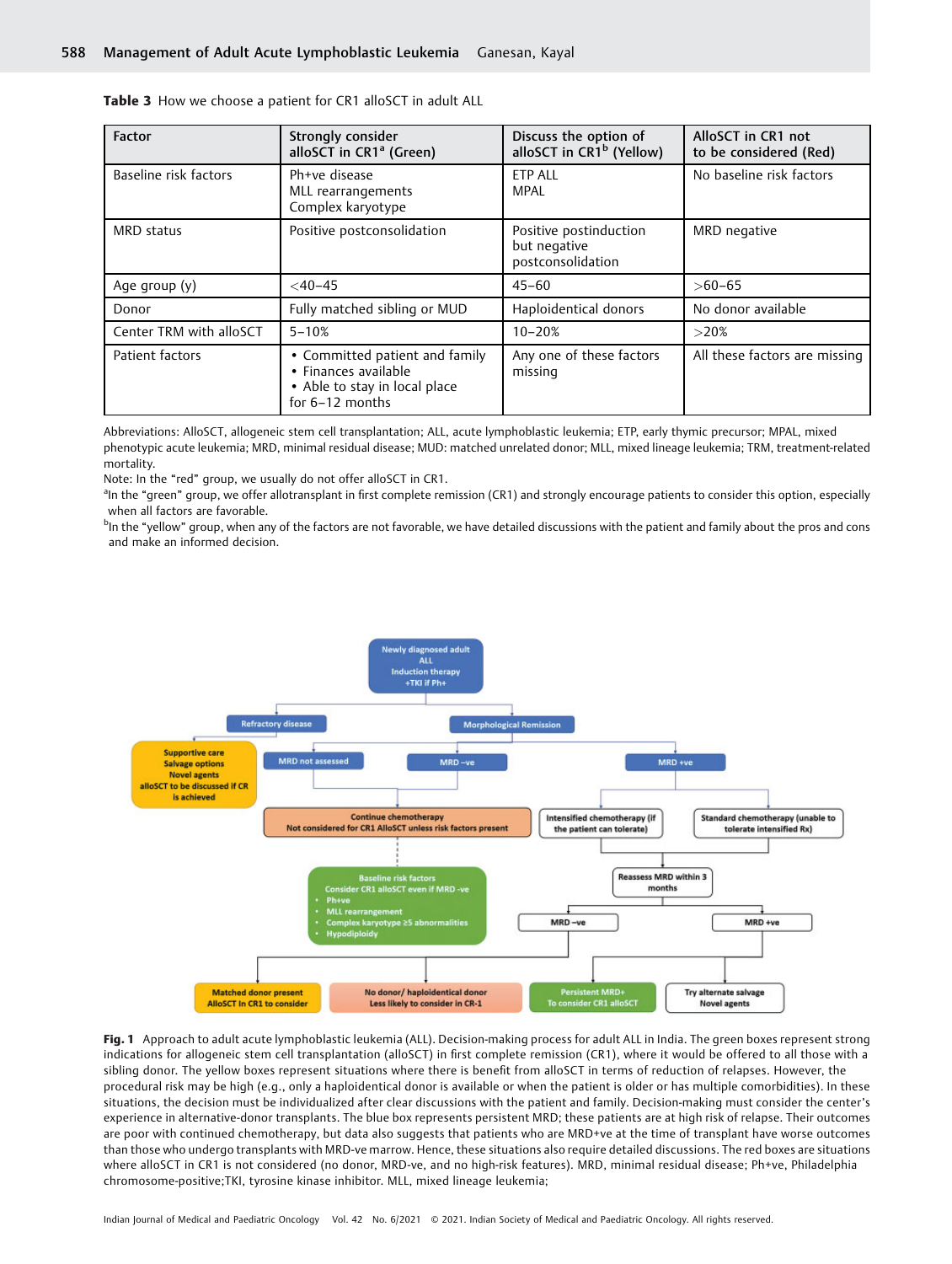| <b>Factor</b>           | Strongly consider<br>alloSCT in CR1 <sup>ª</sup> (Green)                                                     | Discuss the option of<br>alloSCT in CR1 <sup>b</sup> (Yellow) | AlloSCT in CR1 not<br>to be considered (Red) |
|-------------------------|--------------------------------------------------------------------------------------------------------------|---------------------------------------------------------------|----------------------------------------------|
| Baseline risk factors   | Ph+ve disease<br>MLL rearrangements<br>Complex karyotype                                                     | <b>ETP ALL</b><br>MPAL                                        | No baseline risk factors                     |
| MRD status              | Positive postconsolidation                                                                                   | Positive postinduction<br>but negative<br>postconsolidation   | MRD negative                                 |
| Age group (y)           | $<$ 40-45                                                                                                    | $45 - 60$                                                     | $>60-65$                                     |
| Donor                   | Fully matched sibling or MUD                                                                                 | Haploidentical donors                                         | No donor available                           |
| Center TRM with alloSCT | $5 - 10%$                                                                                                    | $10 - 20%$                                                    | >20%                                         |
| Patient factors         | • Committed patient and family<br>• Finances available<br>• Able to stay in local place<br>for $6-12$ months | Any one of these factors<br>missing                           | All these factors are missing                |

Table 3 How we choose a patient for CR1 alloSCT in adult ALL

Abbreviations: AlloSCT, allogeneic stem cell transplantation; ALL, acute lymphoblastic leukemia; ETP, early thymic precursor; MPAL, mixed phenotypic acute leukemia; MRD, minimal residual disease; MUD: matched unrelated donor; MLL, mixed lineage leukemia; TRM, treatment-related mortality.

Note: In the "red" group, we usually do not offer alloSCT in CR1.

<sup>a</sup>In the "green" group, we offer allotransplant in first complete remission (CR1) and strongly encourage patients to consider this option, especially when all factors are favorable.

<sup>b</sup>In the "yellow" group, when any of the factors are not favorable, we have detailed discussions with the patient and family about the pros and cons and make an informed decision.



Fig. 1 Approach to adult acute lymphoblastic leukemia (ALL). Decision-making process for adult ALL in India. The green boxes represent strong indications for allogeneic stem cell transplantation (alloSCT) in first complete remission (CR1), where it would be offered to all those with a sibling donor. The yellow boxes represent situations where there is benefit from alloSCT in terms of reduction of relapses. However, the procedural risk may be high (e.g., only a haploidentical donor is available or when the patient is older or has multiple comorbidities). In these situations, the decision must be individualized after clear discussions with the patient and family. Decision-making must consider the center's experience in alternative-donor transplants. The blue box represents persistent MRD; these patients are at high risk of relapse. Their outcomes are poor with continued chemotherapy, but data also suggests that patients who are MRD+ve at the time of transplant have worse outcomes than those who undergo transplants with MRD-ve marrow. Hence, these situations also require detailed discussions. The red boxes are situations where alloSCT in CR1 is not considered (no donor, MRD-ve, and no high-risk features). MRD, minimal residual disease; Ph+ve, Philadelphia chromosome-positive;TKI, tyrosine kinase inhibitor. MLL, mixed lineage leukemia;

Indian Journal of Medical and Paediatric Oncology Vol. 42 No. 6/2021 © 2021. Indian Society of Medical and Paediatric Oncology. All rights reserved.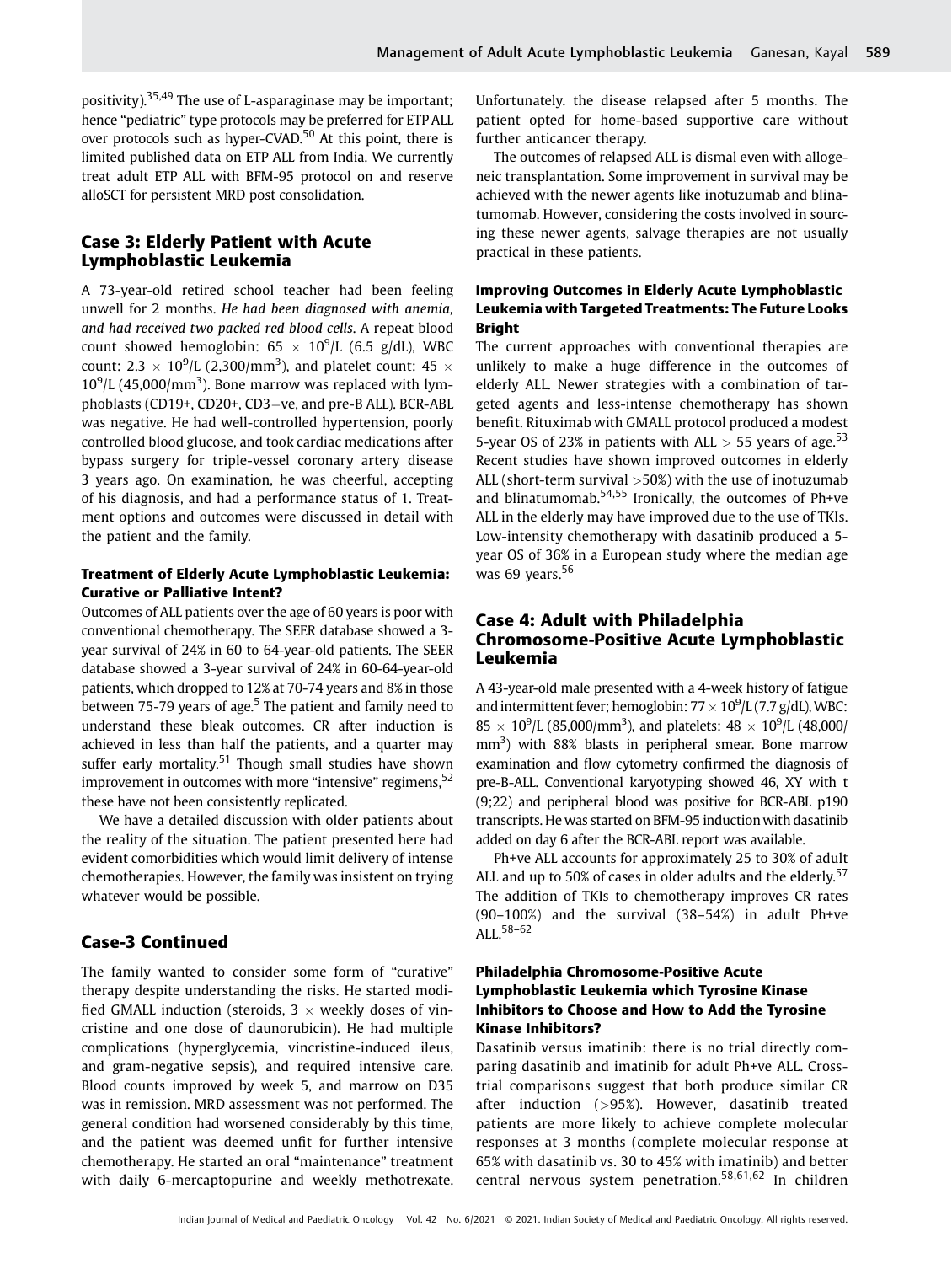positivity).35,49 The use of L-asparaginase may be important; hence "pediatric" type protocols may be preferred for ETP ALL over protocols such as hyper-CVAD.<sup>50</sup> At this point, there is limited published data on ETP ALL from India. We currently treat adult ETP ALL with BFM-95 protocol on and reserve alloSCT for persistent MRD post consolidation.

# Case 3: Elderly Patient with Acute Lymphoblastic Leukemia

A 73-year-old retired school teacher had been feeling unwell for 2 months. He had been diagnosed with anemia, and had received two packed red blood cells. A repeat blood count showed hemoglobin:  $65 \times 10^9$ /L (6.5 g/dL), WBC count: 2.3  $\times$  10<sup>9</sup>/L (2,300/mm<sup>3</sup>), and platelet count: 45  $\times$  $10^9$ /L (45,000/mm<sup>3</sup>). Bone marrow was replaced with lymphoblasts (CD19+, CD20+, CD3-ve, and pre-B ALL). BCR-ABL was negative. He had well-controlled hypertension, poorly controlled blood glucose, and took cardiac medications after bypass surgery for triple-vessel coronary artery disease 3 years ago. On examination, he was cheerful, accepting of his diagnosis, and had a performance status of 1. Treatment options and outcomes were discussed in detail with the patient and the family.

#### Treatment of Elderly Acute Lymphoblastic Leukemia: Curative or Palliative Intent?

Outcomes of ALL patients over the age of 60 years is poor with conventional chemotherapy. The SEER database showed a 3 year survival of 24% in 60 to 64-year-old patients. The SEER database showed a 3-year survival of 24% in 60-64-year-old patients, which dropped to 12% at 70-74 years and 8% in those between 75-79 years of age.<sup>5</sup> The patient and family need to understand these bleak outcomes. CR after induction is achieved in less than half the patients, and a quarter may suffer early mortality.<sup>51</sup> Though small studies have shown improvement in outcomes with more "intensive" regimens,  $52$ these have not been consistently replicated.

We have a detailed discussion with older patients about the reality of the situation. The patient presented here had evident comorbidities which would limit delivery of intense chemotherapies. However, the family was insistent on trying whatever would be possible.

# Case-3 Continued

The family wanted to consider some form of "curative" therapy despite understanding the risks. He started modified GMALL induction (steroids,  $3 \times$  weekly doses of vincristine and one dose of daunorubicin). He had multiple complications (hyperglycemia, vincristine-induced ileus, and gram-negative sepsis), and required intensive care. Blood counts improved by week 5, and marrow on D35 was in remission. MRD assessment was not performed. The general condition had worsened considerably by this time, and the patient was deemed unfit for further intensive chemotherapy. He started an oral "maintenance" treatment with daily 6-mercaptopurine and weekly methotrexate. Unfortunately. the disease relapsed after 5 months. The patient opted for home-based supportive care without further anticancer therapy.

The outcomes of relapsed ALL is dismal even with allogeneic transplantation. Some improvement in survival may be achieved with the newer agents like inotuzumab and blinatumomab. However, considering the costs involved in sourcing these newer agents, salvage therapies are not usually practical in these patients.

# Improving Outcomes in Elderly Acute Lymphoblastic Leukemia with Targeted Treatments: The Future Looks Bright

The current approaches with conventional therapies are unlikely to make a huge difference in the outcomes of elderly ALL. Newer strategies with a combination of targeted agents and less-intense chemotherapy has shown benefit. Rituximab with GMALL protocol produced a modest 5-year OS of 23% in patients with ALL  $>$  55 years of age.<sup>53</sup> Recent studies have shown improved outcomes in elderly ALL (short-term survival  $>50\%$ ) with the use of inotuzumab and blinatumomab.54,55 Ironically, the outcomes of Ph+ve ALL in the elderly may have improved due to the use of TKIs. Low-intensity chemotherapy with dasatinib produced a 5 year OS of 36% in a European study where the median age was 69 years. $56$ 

# Case 4: Adult with Philadelphia Chromosome-Positive Acute Lymphoblastic Leukemia

A 43-year-old male presented with a 4-week history of fatigue and intermittent fever; hemoglobin:  $77 \times 10^9$ /L(7.7 g/dL), WBC:  $85 \times 10^9$ /L (85,000/mm<sup>3</sup>), and platelets:  $48 \times 10^9$ /L (48,000/ mm<sup>3</sup>) with 88% blasts in peripheral smear. Bone marrow examination and flow cytometry confirmed the diagnosis of pre-B-ALL. Conventional karyotyping showed 46, XY with t (9;22) and peripheral blood was positive for BCR-ABL p190 transcripts. He was started on BFM-95 induction with dasatinib added on day 6 after the BCR-ABL report was available.

Ph+ve ALL accounts for approximately 25 to 30% of adult ALL and up to 50% of cases in older adults and the elderly.<sup>57</sup> The addition of TKIs to chemotherapy improves CR rates (90–100%) and the survival (38–54%) in adult Ph+ve ALL.58–<sup>62</sup>

## Philadelphia Chromosome-Positive Acute Lymphoblastic Leukemia which Tyrosine Kinase Inhibitors to Choose and How to Add the Tyrosine Kinase Inhibitors?

Dasatinib versus imatinib: there is no trial directly comparing dasatinib and imatinib for adult Ph+ve ALL. Crosstrial comparisons suggest that both produce similar CR after induction (>95%). However, dasatinib treated patients are more likely to achieve complete molecular responses at 3 months (complete molecular response at 65% with dasatinib vs. 30 to 45% with imatinib) and better central nervous system penetration.58,61,62 In children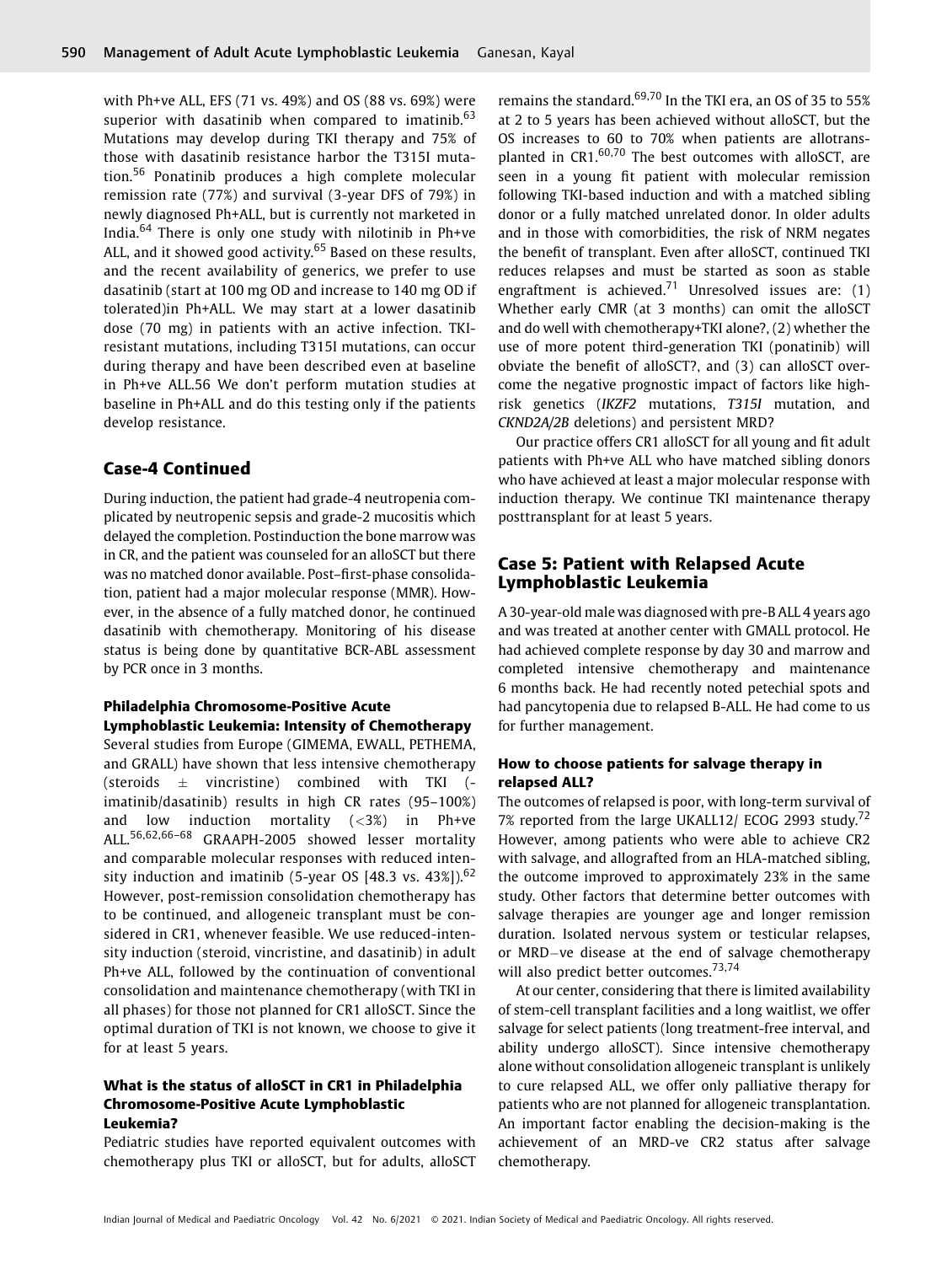with Ph+ve ALL, EFS (71 vs. 49%) and OS (88 vs. 69%) were superior with dasatinib when compared to imatinib. $63$ Mutations may develop during TKI therapy and 75% of those with dasatinib resistance harbor the T315I mutation.<sup>56</sup> Ponatinib produces a high complete molecular remission rate (77%) and survival (3-year DFS of 79%) in newly diagnosed Ph+ALL, but is currently not marketed in India.<sup>64</sup> There is only one study with nilotinib in Ph+ve ALL, and it showed good activity.<sup>65</sup> Based on these results, and the recent availability of generics, we prefer to use dasatinib (start at 100 mg OD and increase to 140 mg OD if tolerated)in Ph+ALL. We may start at a lower dasatinib dose (70 mg) in patients with an active infection. TKIresistant mutations, including T315I mutations, can occur during therapy and have been described even at baseline in Ph+ve ALL.56 We don't perform mutation studies at baseline in Ph+ALL and do this testing only if the patients develop resistance.

#### Case-4 Continued

During induction, the patient had grade-4 neutropenia complicated by neutropenic sepsis and grade-2 mucositis which delayed the completion. Postinduction the bone marrow was in CR, and the patient was counseled for an alloSCT but there was no matched donor available. Post–first-phase consolidation, patient had a major molecular response (MMR). However, in the absence of a fully matched donor, he continued dasatinib with chemotherapy. Monitoring of his disease status is being done by quantitative BCR-ABL assessment by PCR once in 3 months.

#### Philadelphia Chromosome-Positive Acute Lymphoblastic Leukemia: Intensity of Chemotherapy

Several studies from Europe (GIMEMA, EWALL, PETHEMA, and GRALL) have shown that less intensive chemotherapy (steroids  $\pm$  vincristine) combined with TKI (imatinib/dasatinib) results in high CR rates (95–100%) and low induction mortality  $(<3\%)$  in Ph+ve ALL.56,62,66–<sup>68</sup> GRAAPH-2005 showed lesser mortality and comparable molecular responses with reduced intensity induction and imatinib (5-year OS  $[48.3 \text{ vs. } 43\%]$ ).<sup>62</sup> However, post-remission consolidation chemotherapy has to be continued, and allogeneic transplant must be considered in CR1, whenever feasible. We use reduced-intensity induction (steroid, vincristine, and dasatinib) in adult Ph+ve ALL, followed by the continuation of conventional consolidation and maintenance chemotherapy (with TKI in all phases) for those not planned for CR1 alloSCT. Since the optimal duration of TKI is not known, we choose to give it for at least 5 years.

#### What is the status of alloSCT in CR1 in Philadelphia Chromosome-Positive Acute Lymphoblastic Leukemia?

Pediatric studies have reported equivalent outcomes with chemotherapy plus TKI or alloSCT, but for adults, alloSCT remains the standard.<sup>69,70</sup> In the TKI era, an OS of 35 to 55% at 2 to 5 years has been achieved without alloSCT, but the OS increases to 60 to 70% when patients are allotransplanted in  $CR1$ ,  $60,70$  The best outcomes with alloSCT, are seen in a young fit patient with molecular remission following TKI-based induction and with a matched sibling donor or a fully matched unrelated donor. In older adults and in those with comorbidities, the risk of NRM negates the benefit of transplant. Even after alloSCT, continued TKI reduces relapses and must be started as soon as stable engraftment is achieved.<sup>71</sup> Unresolved issues are: (1) Whether early CMR (at 3 months) can omit the alloSCT and do well with chemotherapy+TKI alone?, (2) whether the use of more potent third-generation TKI (ponatinib) will obviate the benefit of alloSCT?, and (3) can alloSCT overcome the negative prognostic impact of factors like highrisk genetics (IKZF2 mutations, T315I mutation, and CKND2A/2B deletions) and persistent MRD?

Our practice offers CR1 alloSCT for all young and fit adult patients with Ph+ve ALL who have matched sibling donors who have achieved at least a major molecular response with induction therapy. We continue TKI maintenance therapy posttransplant for at least 5 years.

# Case 5: Patient with Relapsed Acute Lymphoblastic Leukemia

A 30-year-old male was diagnosed with pre-B ALL 4 years ago and was treated at another center with GMALL protocol. He had achieved complete response by day 30 and marrow and completed intensive chemotherapy and maintenance 6 months back. He had recently noted petechial spots and had pancytopenia due to relapsed B-ALL. He had come to us for further management.

#### How to choose patients for salvage therapy in relapsed ALL?

The outcomes of relapsed is poor, with long-term survival of 7% reported from the large UKALL12/ ECOG 2993 study.<sup>72</sup> However, among patients who were able to achieve CR2 with salvage, and allografted from an HLA-matched sibling, the outcome improved to approximately 23% in the same study. Other factors that determine better outcomes with salvage therapies are younger age and longer remission duration. Isolated nervous system or testicular relapses, or MRD-ve disease at the end of salvage chemotherapy will also predict better outcomes.<sup>73,74</sup>

At our center, considering that there is limited availability of stem-cell transplant facilities and a long waitlist, we offer salvage for select patients (long treatment-free interval, and ability undergo alloSCT). Since intensive chemotherapy alone without consolidation allogeneic transplant is unlikely to cure relapsed ALL, we offer only palliative therapy for patients who are not planned for allogeneic transplantation. An important factor enabling the decision-making is the achievement of an MRD-ve CR2 status after salvage chemotherapy.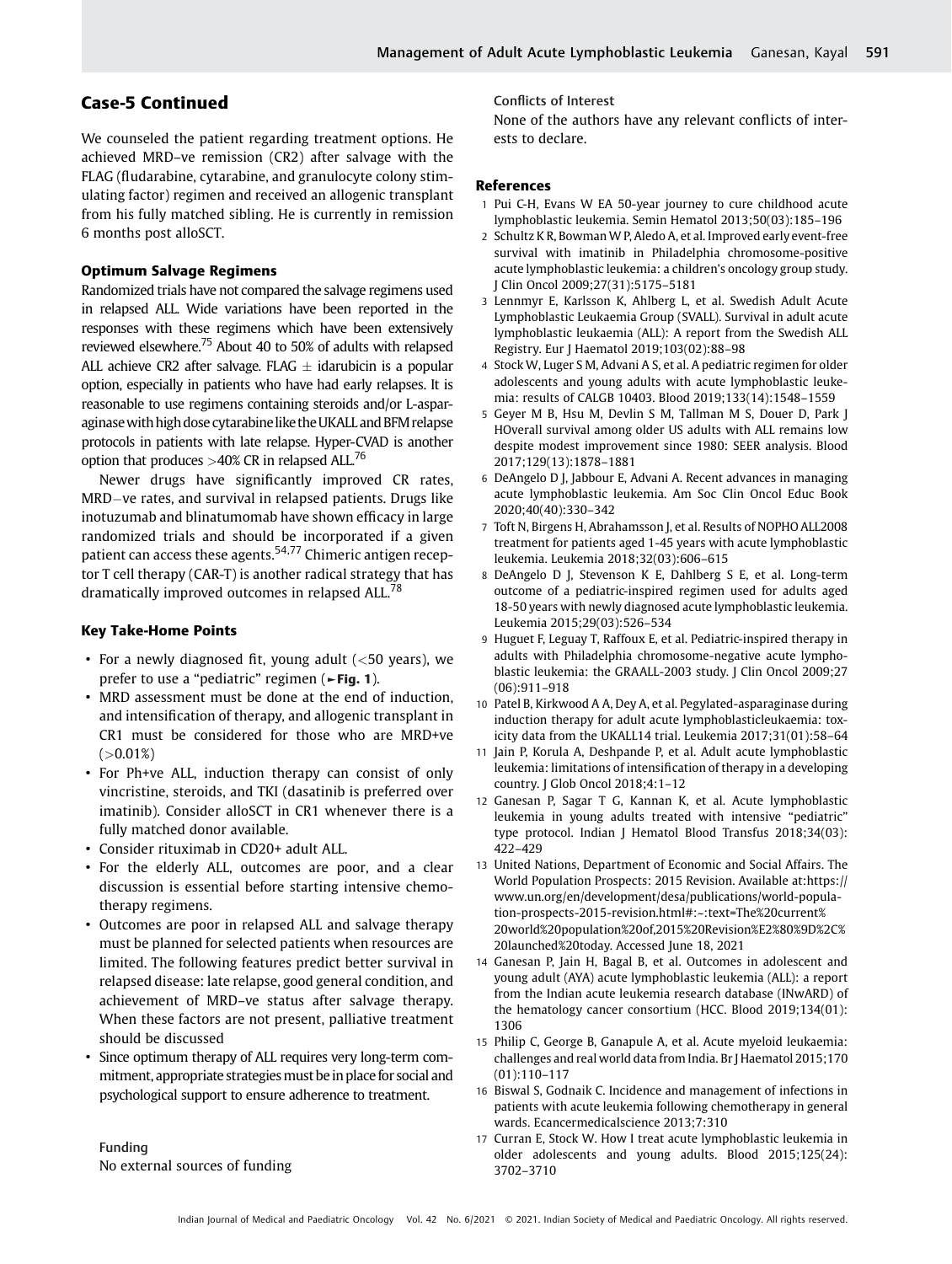# Case-5 Continued

We counseled the patient regarding treatment options. He achieved MRD–ve remission (CR2) after salvage with the FLAG (fludarabine, cytarabine, and granulocyte colony stimulating factor) regimen and received an allogenic transplant from his fully matched sibling. He is currently in remission 6 months post alloSCT.

#### Optimum Salvage Regimens

Randomized trials have not compared the salvage regimens used in relapsed ALL. Wide variations have been reported in the responses with these regimens which have been extensively reviewed elsewhere.<sup>75</sup> About 40 to 50% of adults with relapsed ALL achieve CR2 after salvage. FLAG  $\pm$  idarubicin is a popular option, especially in patients who have had early relapses. It is reasonable to use regimens containing steroids and/or L-asparaginase with high dose cytarabine like the UKALL and BFM relapse protocols in patients with late relapse. Hyper-CVAD is another option that produces  $>40\%$  CR in relapsed ALL.<sup>76</sup>

Newer drugs have significantly improved CR rates, MRD-ve rates, and survival in relapsed patients. Drugs like inotuzumab and blinatumomab have shown efficacy in large randomized trials and should be incorporated if a given patient can access these agents.54,77 Chimeric antigen receptor T cell therapy (CAR-T) is another radical strategy that has dramatically improved outcomes in relapsed ALL.<sup>78</sup>

#### Key Take-Home Points

- For a newly diagnosed fit, young adult  $(<$  50 years), we prefer to use a "pediatric" regimen (►Fig. 1).
- MRD assessment must be done at the end of induction, and intensification of therapy, and allogenic transplant in CR1 must be considered for those who are MRD+ve  $( >0.01\%)$
- For Ph+ve ALL, induction therapy can consist of only vincristine, steroids, and TKI (dasatinib is preferred over imatinib). Consider alloSCT in CR1 whenever there is a fully matched donor available.
- Consider rituximab in CD20+ adult ALL.
- For the elderly ALL, outcomes are poor, and a clear discussion is essential before starting intensive chemotherapy regimens.
- Outcomes are poor in relapsed ALL and salvage therapy must be planned for selected patients when resources are limited. The following features predict better survival in relapsed disease: late relapse, good general condition, and achievement of MRD–ve status after salvage therapy. When these factors are not present, palliative treatment should be discussed
- Since optimum therapy of ALL requires very long-term commitment, appropriate strategies must be in place for social and psychological support to ensure adherence to treatment.

Funding No external sources of funding Conflicts of Interest

None of the authors have any relevant conflicts of interests to declare.

#### References

- 1 Pui C-H, Evans W EA 50-year journey to cure childhood acute lymphoblastic leukemia. Semin Hematol 2013;50(03):185–196
- 2 Schultz K R, Bowman W P, Aledo A, et al. Improved early event-free survival with imatinib in Philadelphia chromosome-positive acute lymphoblastic leukemia: a children's oncology group study. J Clin Oncol 2009;27(31):5175–5181
- 3 Lennmyr E, Karlsson K, Ahlberg L, et al. Swedish Adult Acute Lymphoblastic Leukaemia Group (SVALL). Survival in adult acute lymphoblastic leukaemia (ALL): A report from the Swedish ALL Registry. Eur J Haematol 2019;103(02):88–98
- 4 Stock W, Luger S M, Advani A S, et al. A pediatric regimen for older adolescents and young adults with acute lymphoblastic leukemia: results of CALGB 10403. Blood 2019;133(14):1548–1559
- 5 Geyer M B, Hsu M, Devlin S M, Tallman M S, Douer D, Park J HOverall survival among older US adults with ALL remains low despite modest improvement since 1980: SEER analysis. Blood 2017;129(13):1878–1881
- 6 DeAngelo D J, Jabbour E, Advani A. Recent advances in managing acute lymphoblastic leukemia. Am Soc Clin Oncol Educ Book 2020;40(40):330–342
- 7 Toft N, Birgens H, Abrahamsson J, et al. Results of NOPHO ALL2008 treatment for patients aged 1-45 years with acute lymphoblastic leukemia. Leukemia 2018;32(03):606–615
- 8 DeAngelo D J, Stevenson K E, Dahlberg S E, et al. Long-term outcome of a pediatric-inspired regimen used for adults aged 18-50 years with newly diagnosed acute lymphoblastic leukemia. Leukemia 2015;29(03):526–534
- 9 Huguet F, Leguay T, Raffoux E, et al. Pediatric-inspired therapy in adults with Philadelphia chromosome-negative acute lymphoblastic leukemia: the GRAALL-2003 study. J Clin Oncol 2009;27 (06):911–918
- 10 Patel B, Kirkwood A A, Dey A, et al. Pegylated-asparaginase during induction therapy for adult acute lymphoblasticleukaemia: toxicity data from the UKALL14 trial. Leukemia 2017;31(01):58–64
- 11 Jain P, Korula A, Deshpande P, et al. Adult acute lymphoblastic leukemia: limitations of intensification of therapy in a developing country. J Glob Oncol 2018;4:1–12
- 12 Ganesan P, Sagar T G, Kannan K, et al. Acute lymphoblastic leukemia in young adults treated with intensive "pediatric" type protocol. Indian J Hematol Blood Transfus 2018;34(03): 422–429
- 13 United Nations, Department of Economic and Social Affairs. The World Population Prospects: 2015 Revision. Available at:https:// www.un.org/en/development/desa/publications/world-population-prospects-2015-revision.html#:~:text=The%20current% 20world%20population%20of,2015%20Revision%E2%80%9D%2C% 20launched%20today. Accessed June 18, 2021
- 14 Ganesan P, Jain H, Bagal B, et al. Outcomes in adolescent and young adult (AYA) acute lymphoblastic leukemia (ALL): a report from the Indian acute leukemia research database (INwARD) of the hematology cancer consortium (HCC. Blood 2019;134(01): 1306
- 15 Philip C, George B, Ganapule A, et al. Acute myeloid leukaemia: challenges and real world data from India. Br J Haematol 2015;170 (01):110–117
- 16 Biswal S, Godnaik C. Incidence and management of infections in patients with acute leukemia following chemotherapy in general wards. Ecancermedicalscience 2013;7:310
- 17 Curran E, Stock W. How I treat acute lymphoblastic leukemia in older adolescents and young adults. Blood 2015;125(24): 3702–3710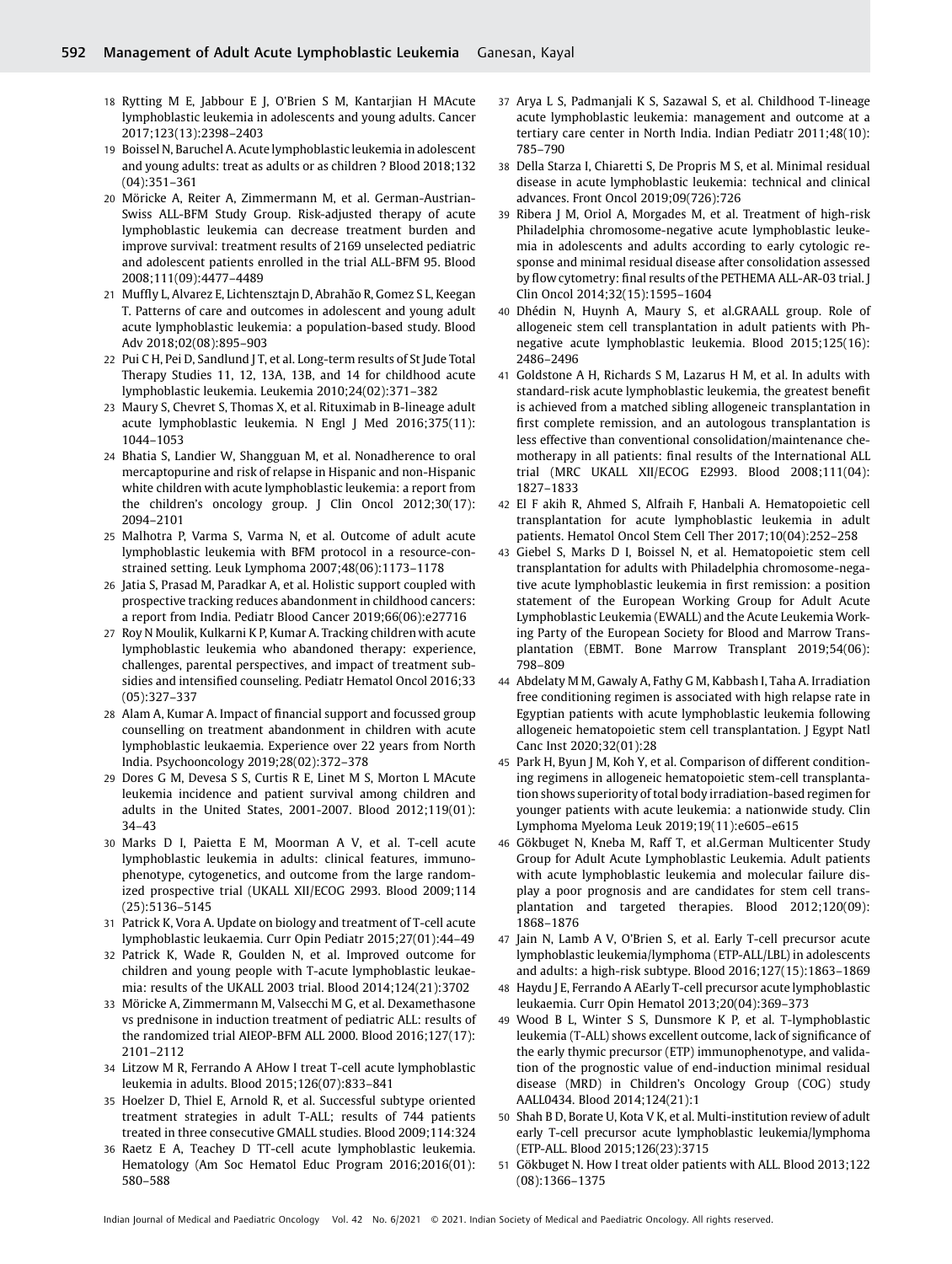- 18 Rytting M E, Jabbour E J, O'Brien S M, Kantarjian H MAcute lymphoblastic leukemia in adolescents and young adults. Cancer 2017;123(13):2398–2403
- 19 Boissel N, Baruchel A. Acute lymphoblastic leukemia in adolescent and young adults: treat as adults or as children ? Blood 2018;132 (04):351–361
- 20 Möricke A, Reiter A, Zimmermann M, et al. German-Austrian-Swiss ALL-BFM Study Group. Risk-adjusted therapy of acute lymphoblastic leukemia can decrease treatment burden and improve survival: treatment results of 2169 unselected pediatric and adolescent patients enrolled in the trial ALL-BFM 95. Blood 2008;111(09):4477–4489
- 21 Muffly L, Alvarez E, Lichtensztajn D, Abrahão R, Gomez S L, Keegan T. Patterns of care and outcomes in adolescent and young adult acute lymphoblastic leukemia: a population-based study. Blood Adv 2018;02(08):895–903
- 22 Pui C H, Pei D, Sandlund J T, et al. Long-term results of St Jude Total Therapy Studies 11, 12, 13A, 13B, and 14 for childhood acute lymphoblastic leukemia. Leukemia 2010;24(02):371–382
- 23 Maury S, Chevret S, Thomas X, et al. Rituximab in B-lineage adult acute lymphoblastic leukemia. N Engl J Med 2016;375(11): 1044–1053
- 24 Bhatia S, Landier W, Shangguan M, et al. Nonadherence to oral mercaptopurine and risk of relapse in Hispanic and non-Hispanic white children with acute lymphoblastic leukemia: a report from the children's oncology group. J Clin Oncol 2012;30(17): 2094–2101
- 25 Malhotra P, Varma S, Varma N, et al. Outcome of adult acute lymphoblastic leukemia with BFM protocol in a resource-constrained setting. Leuk Lymphoma 2007;48(06):1173–1178
- 26 Jatia S, Prasad M, Paradkar A, et al. Holistic support coupled with prospective tracking reduces abandonment in childhood cancers: a report from India. Pediatr Blood Cancer 2019;66(06):e27716
- 27 Roy N Moulik, Kulkarni K P, Kumar A. Tracking children with acute lymphoblastic leukemia who abandoned therapy: experience, challenges, parental perspectives, and impact of treatment subsidies and intensified counseling. Pediatr Hematol Oncol 2016;33 (05):327–337
- 28 Alam A, Kumar A. Impact of financial support and focussed group counselling on treatment abandonment in children with acute lymphoblastic leukaemia. Experience over 22 years from North India. Psychooncology 2019;28(02):372–378
- 29 Dores G M, Devesa S S, Curtis R E, Linet M S, Morton L MAcute leukemia incidence and patient survival among children and adults in the United States, 2001-2007. Blood 2012;119(01): 34–43
- 30 Marks D I, Paietta E M, Moorman A V, et al. T-cell acute lymphoblastic leukemia in adults: clinical features, immunophenotype, cytogenetics, and outcome from the large randomized prospective trial (UKALL XII/ECOG 2993. Blood 2009;114 (25):5136–5145
- 31 Patrick K, Vora A. Update on biology and treatment of T-cell acute lymphoblastic leukaemia. Curr Opin Pediatr 2015;27(01):44–49
- 32 Patrick K, Wade R, Goulden N, et al. Improved outcome for children and young people with T-acute lymphoblastic leukaemia: results of the UKALL 2003 trial. Blood 2014;124(21):3702
- 33 Möricke A, Zimmermann M, Valsecchi M G, et al. Dexamethasone vs prednisone in induction treatment of pediatric ALL: results of the randomized trial AIEOP-BFM ALL 2000. Blood 2016;127(17): 2101–2112
- 34 Litzow M R, Ferrando A AHow I treat T-cell acute lymphoblastic leukemia in adults. Blood 2015;126(07):833–841
- 35 Hoelzer D, Thiel E, Arnold R, et al. Successful subtype oriented treatment strategies in adult T-ALL; results of 744 patients treated in three consecutive GMALL studies. Blood 2009;114:324
- 36 Raetz E A, Teachey D TT-cell acute lymphoblastic leukemia. Hematology (Am Soc Hematol Educ Program 2016;2016(01): 580–588
- 37 Arya L S, Padmanjali K S, Sazawal S, et al. Childhood T-lineage acute lymphoblastic leukemia: management and outcome at a tertiary care center in North India. Indian Pediatr 2011;48(10): 785–790
- 38 Della Starza I, Chiaretti S, De Propris M S, et al. Minimal residual disease in acute lymphoblastic leukemia: technical and clinical advances. Front Oncol 2019;09(726):726
- 39 Ribera J M, Oriol A, Morgades M, et al. Treatment of high-risk Philadelphia chromosome-negative acute lymphoblastic leukemia in adolescents and adults according to early cytologic response and minimal residual disease after consolidation assessed by flow cytometry: final results of the PETHEMA ALL-AR-03 trial. J Clin Oncol 2014;32(15):1595–1604
- 40 Dhédin N, Huynh A, Maury S, et al.GRAALL group. Role of allogeneic stem cell transplantation in adult patients with Phnegative acute lymphoblastic leukemia. Blood 2015;125(16): 2486–2496
- 41 Goldstone A H, Richards S M, Lazarus H M, et al. In adults with standard-risk acute lymphoblastic leukemia, the greatest benefit is achieved from a matched sibling allogeneic transplantation in first complete remission, and an autologous transplantation is less effective than conventional consolidation/maintenance chemotherapy in all patients: final results of the International ALL trial (MRC UKALL XII/ECOG E2993. Blood 2008;111(04): 1827–1833
- 42 El F akih R, Ahmed S, Alfraih F, Hanbali A. Hematopoietic cell transplantation for acute lymphoblastic leukemia in adult patients. Hematol Oncol Stem Cell Ther 2017;10(04):252–258
- 43 Giebel S, Marks D I, Boissel N, et al. Hematopoietic stem cell transplantation for adults with Philadelphia chromosome-negative acute lymphoblastic leukemia in first remission: a position statement of the European Working Group for Adult Acute Lymphoblastic Leukemia (EWALL) and the Acute Leukemia Working Party of the European Society for Blood and Marrow Transplantation (EBMT. Bone Marrow Transplant 2019;54(06): 798–809
- 44 Abdelaty M M, Gawaly A, Fathy G M, Kabbash I, Taha A. Irradiation free conditioning regimen is associated with high relapse rate in Egyptian patients with acute lymphoblastic leukemia following allogeneic hematopoietic stem cell transplantation. J Egypt Natl Canc Inst 2020;32(01):28
- 45 Park H, Byun J M, Koh Y, et al. Comparison of different conditioning regimens in allogeneic hematopoietic stem-cell transplantation shows superiority of total body irradiation-based regimen for younger patients with acute leukemia: a nationwide study. Clin Lymphoma Myeloma Leuk 2019;19(11):e605–e615
- 46 Gökbuget N, Kneba M, Raff T, et al.German Multicenter Study Group for Adult Acute Lymphoblastic Leukemia. Adult patients with acute lymphoblastic leukemia and molecular failure display a poor prognosis and are candidates for stem cell transplantation and targeted therapies. Blood 2012;120(09): 1868–1876
- 47 Jain N, Lamb A V, O'Brien S, et al. Early T-cell precursor acute lymphoblastic leukemia/lymphoma (ETP-ALL/LBL) in adolescents and adults: a high-risk subtype. Blood 2016;127(15):1863–1869
- 48 Haydu J E, Ferrando A AEarly T-cell precursor acute lymphoblastic leukaemia. Curr Opin Hematol 2013;20(04):369–373
- 49 Wood B L, Winter S S, Dunsmore K P, et al. T-lymphoblastic leukemia (T-ALL) shows excellent outcome, lack of significance of the early thymic precursor (ETP) immunophenotype, and validation of the prognostic value of end-induction minimal residual disease (MRD) in Children's Oncology Group (COG) study AALL0434. Blood 2014;124(21):1
- 50 Shah B D, Borate U, Kota V K, et al. Multi-institution review of adult early T-cell precursor acute lymphoblastic leukemia/lymphoma (ETP-ALL. Blood 2015;126(23):3715
- 51 Gökbuget N. How I treat older patients with ALL. Blood 2013;122 (08):1366–1375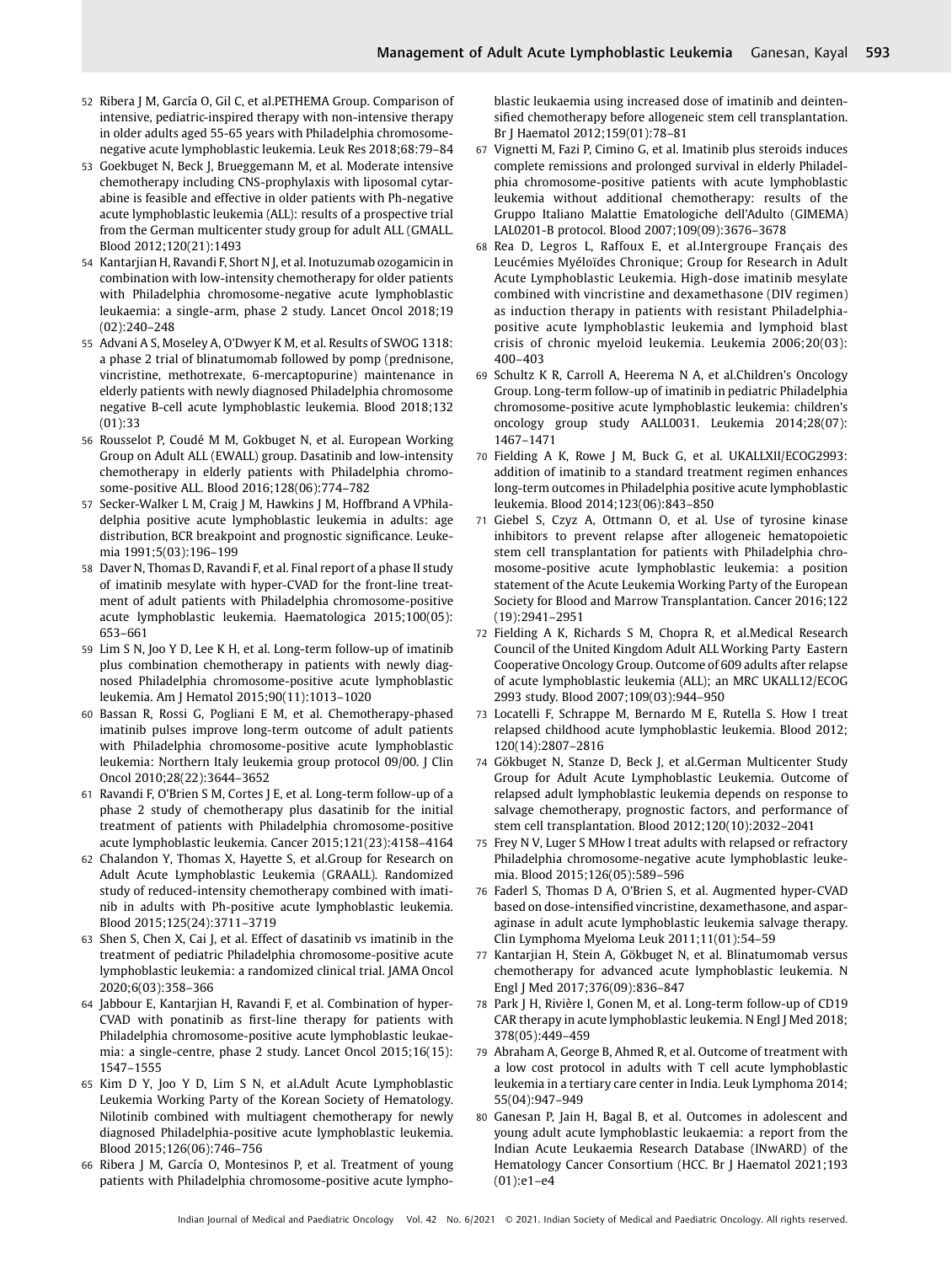- 52 Ribera J M, García O, Gil C, et al.PETHEMA Group. Comparison of intensive, pediatric-inspired therapy with non-intensive therapy in older adults aged 55-65 years with Philadelphia chromosomenegative acute lymphoblastic leukemia. Leuk Res 2018;68:79–84
- 53 Goekbuget N, Beck J, Brueggemann M, et al. Moderate intensive chemotherapy including CNS-prophylaxis with liposomal cytarabine is feasible and effective in older patients with Ph-negative acute lymphoblastic leukemia (ALL): results of a prospective trial from the German multicenter study group for adult ALL (GMALL. Blood 2012;120(21):1493
- 54 Kantarjian H, Ravandi F, Short N J, et al. Inotuzumab ozogamicin in combination with low-intensity chemotherapy for older patients with Philadelphia chromosome-negative acute lymphoblastic leukaemia: a single-arm, phase 2 study. Lancet Oncol 2018;19 (02):240–248
- 55 Advani A S, Moseley A, O'Dwyer K M, et al. Results of SWOG 1318: a phase 2 trial of blinatumomab followed by pomp (prednisone, vincristine, methotrexate, 6-mercaptopurine) maintenance in elderly patients with newly diagnosed Philadelphia chromosome negative B-cell acute lymphoblastic leukemia. Blood 2018;132 (01):33
- 56 Rousselot P, Coudé M M, Gokbuget N, et al. European Working Group on Adult ALL (EWALL) group. Dasatinib and low-intensity chemotherapy in elderly patients with Philadelphia chromosome-positive ALL. Blood 2016;128(06):774–782
- 57 Secker-Walker L M, Craig J M, Hawkins J M, Hoffbrand A VPhiladelphia positive acute lymphoblastic leukemia in adults: age distribution, BCR breakpoint and prognostic significance. Leukemia 1991;5(03):196–199
- 58 Daver N, Thomas D, Ravandi F, et al. Final report of a phase II study of imatinib mesylate with hyper-CVAD for the front-line treatment of adult patients with Philadelphia chromosome-positive acute lymphoblastic leukemia. Haematologica 2015;100(05): 653–661
- 59 Lim S N, Joo Y D, Lee K H, et al. Long-term follow-up of imatinib plus combination chemotherapy in patients with newly diagnosed Philadelphia chromosome-positive acute lymphoblastic leukemia. Am J Hematol 2015;90(11):1013–1020
- 60 Bassan R, Rossi G, Pogliani E M, et al. Chemotherapy-phased imatinib pulses improve long-term outcome of adult patients with Philadelphia chromosome-positive acute lymphoblastic leukemia: Northern Italy leukemia group protocol 09/00. J Clin Oncol 2010;28(22):3644–3652
- 61 Ravandi F, O'Brien S M, Cortes J E, et al. Long-term follow-up of a phase 2 study of chemotherapy plus dasatinib for the initial treatment of patients with Philadelphia chromosome-positive acute lymphoblastic leukemia. Cancer 2015;121(23):4158–4164
- 62 Chalandon Y, Thomas X, Hayette S, et al.Group for Research on Adult Acute Lymphoblastic Leukemia (GRAALL). Randomized study of reduced-intensity chemotherapy combined with imatinib in adults with Ph-positive acute lymphoblastic leukemia. Blood 2015;125(24):3711–3719
- 63 Shen S, Chen X, Cai J, et al. Effect of dasatinib vs imatinib in the treatment of pediatric Philadelphia chromosome-positive acute lymphoblastic leukemia: a randomized clinical trial. JAMA Oncol 2020;6(03):358–366
- 64 Jabbour E, Kantarjian H, Ravandi F, et al. Combination of hyper-CVAD with ponatinib as first-line therapy for patients with Philadelphia chromosome-positive acute lymphoblastic leukaemia: a single-centre, phase 2 study. Lancet Oncol 2015;16(15): 1547–1555
- 65 Kim D Y, Joo Y D, Lim S N, et al.Adult Acute Lymphoblastic Leukemia Working Party of the Korean Society of Hematology. Nilotinib combined with multiagent chemotherapy for newly diagnosed Philadelphia-positive acute lymphoblastic leukemia. Blood 2015;126(06):746–756
- 66 Ribera J M, García O, Montesinos P, et al. Treatment of young patients with Philadelphia chromosome-positive acute lympho-

blastic leukaemia using increased dose of imatinib and deintensified chemotherapy before allogeneic stem cell transplantation. Br J Haematol 2012;159(01):78–81

- 67 Vignetti M, Fazi P, Cimino G, et al. Imatinib plus steroids induces complete remissions and prolonged survival in elderly Philadelphia chromosome-positive patients with acute lymphoblastic leukemia without additional chemotherapy: results of the Gruppo Italiano Malattie Ematologiche dell'Adulto (GIMEMA) LAL0201-B protocol. Blood 2007;109(09):3676–3678
- 68 Rea D, Legros L, Raffoux E, et al.Intergroupe Français des Leucémies Myéloïdes Chronique; Group for Research in Adult Acute Lymphoblastic Leukemia. High-dose imatinib mesylate combined with vincristine and dexamethasone (DIV regimen) as induction therapy in patients with resistant Philadelphiapositive acute lymphoblastic leukemia and lymphoid blast crisis of chronic myeloid leukemia. Leukemia 2006;20(03): 400–403
- 69 Schultz K R, Carroll A, Heerema N A, et al.Children's Oncology Group. Long-term follow-up of imatinib in pediatric Philadelphia chromosome-positive acute lymphoblastic leukemia: children's oncology group study AALL0031. Leukemia 2014;28(07): 1467–1471
- 70 Fielding A K, Rowe J M, Buck G, et al. UKALLXII/ECOG2993: addition of imatinib to a standard treatment regimen enhances long-term outcomes in Philadelphia positive acute lymphoblastic leukemia. Blood 2014;123(06):843–850
- 71 Giebel S, Czyz A, Ottmann O, et al. Use of tyrosine kinase inhibitors to prevent relapse after allogeneic hematopoietic stem cell transplantation for patients with Philadelphia chromosome-positive acute lymphoblastic leukemia: a position statement of the Acute Leukemia Working Party of the European Society for Blood and Marrow Transplantation. Cancer 2016;122 (19):2941–2951
- 72 Fielding A K, Richards S M, Chopra R, et al.Medical Research Council of the United Kingdom Adult ALL Working Party Eastern Cooperative Oncology Group. Outcome of 609 adults after relapse of acute lymphoblastic leukemia (ALL); an MRC UKALL12/ECOG 2993 study. Blood 2007;109(03):944–950
- 73 Locatelli F, Schrappe M, Bernardo M E, Rutella S. How I treat relapsed childhood acute lymphoblastic leukemia. Blood 2012; 120(14):2807–2816
- 74 Gökbuget N, Stanze D, Beck J, et al.German Multicenter Study Group for Adult Acute Lymphoblastic Leukemia. Outcome of relapsed adult lymphoblastic leukemia depends on response to salvage chemotherapy, prognostic factors, and performance of stem cell transplantation. Blood 2012;120(10):2032–2041
- 75 Frey N V, Luger S MHow I treat adults with relapsed or refractory Philadelphia chromosome-negative acute lymphoblastic leukemia. Blood 2015;126(05):589–596
- 76 Faderl S, Thomas D A, O'Brien S, et al. Augmented hyper-CVAD based on dose-intensified vincristine, dexamethasone, and asparaginase in adult acute lymphoblastic leukemia salvage therapy. Clin Lymphoma Myeloma Leuk 2011;11(01):54–59
- 77 Kantarjian H, Stein A, Gökbuget N, et al. Blinatumomab versus chemotherapy for advanced acute lymphoblastic leukemia. N Engl J Med 2017;376(09):836–847
- 78 Park J H, Rivière I, Gonen M, et al. Long-term follow-up of CD19 CAR therapy in acute lymphoblastic leukemia. N Engl J Med 2018; 378(05):449–459
- 79 Abraham A, George B, Ahmed R, et al. Outcome of treatment with a low cost protocol in adults with T cell acute lymphoblastic leukemia in a tertiary care center in India. Leuk Lymphoma 2014; 55(04):947–949
- 80 Ganesan P, Jain H, Bagal B, et al. Outcomes in adolescent and young adult acute lymphoblastic leukaemia: a report from the Indian Acute Leukaemia Research Database (INwARD) of the Hematology Cancer Consortium (HCC. Br J Haematol 2021;193 (01):e1–e4